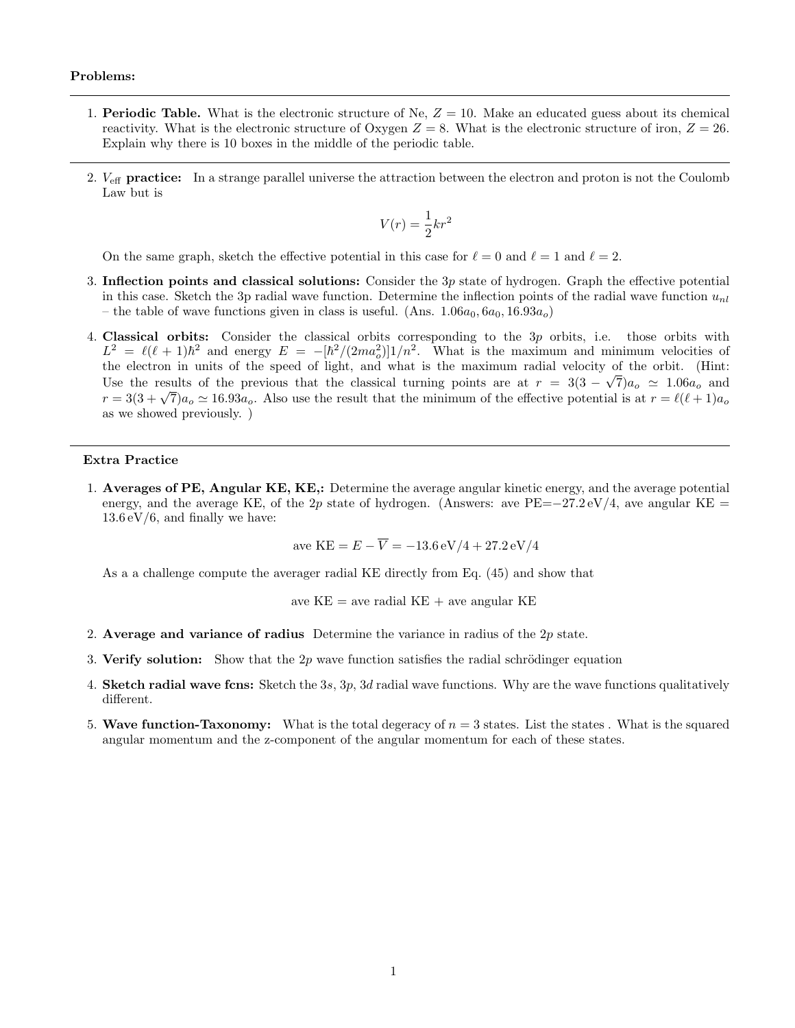### Problems:

- 1. Periodic Table. What is the electronic structure of Ne,  $Z = 10$ . Make an educated guess about its chemical reactivity. What is the electronic structure of Oxygen  $Z = 8$ . What is the electronic structure of iron,  $Z = 26$ . Explain why there is 10 boxes in the middle of the periodic table.
- 2.  $V_{\text{eff}}$  practice: In a strange parallel universe the attraction between the electron and proton is not the Coulomb Law but is

$$
V(r) = \frac{1}{2}kr^2
$$

On the same graph, sketch the effective potential in this case for  $\ell = 0$  and  $\ell = 1$  and  $\ell = 2$ .

- 3. Inflection points and classical solutions: Consider the  $3p$  state of hydrogen. Graph the effective potential in this case. Sketch the 3p radial wave function. Determine the inflection points of the radial wave function  $u_{nl}$ – the table of wave functions given in class is useful. (Ans.  $1.06a_0, 6a_0, 16.93a_o$ )
- 4. Classical orbits: Consider the classical orbits corresponding to the 3p orbits, i.e. those orbits with  $L^2 = \ell(\ell+1)\hbar^2$  and energy  $E = -[\hbar^2/(2ma_o^2)]1/n^2$ . What is the maximum and minimum velocities of the electron in units of the speed of light, and what is the maximum radial velocity of the orbit. (Hint: Use the results of the previous that the classical turning points are at  $r = 3(3 - \sqrt{7})a_o \approx 1.06a_o$  and  $r = 3(3+\sqrt{7})a_o \simeq 16.93a_o$ . Also use the result that the minimum of the effective potential is at  $r = \ell(\ell+1)a_o$ as we showed previously. )

## Extra Practice

1. Averages of PE, Angular KE, KE,: Determine the average angular kinetic energy, and the average potential energy, and the average KE, of the 2p state of hydrogen. (Answers: ave PE=−27.2 eV/4, ave angular KE =  $13.6 \,\mathrm{eV}/6$ , and finally we have:

$$
A = KE = E - \overline{V} = -13.6 \,\mathrm{eV} / 4 + 27.2 \,\mathrm{eV} / 4
$$

As a a challenge compute the averager radial KE directly from Eq. (45) and show that

ave  $KE =$  ave radial  $KE +$  ave angular  $KE$ 

- 2. Average and variance of radius Determine the variance in radius of the  $2p$  state.
- 3. Verify solution: Show that the  $2p$  wave function satisfies the radial schrödinger equation
- 4. Sketch radial wave fons: Sketch the 3s,  $3p$ , 3d radial wave functions. Why are the wave functions qualitatively different.
- 5. Wave function-Taxonomy: What is the total degeracy of  $n = 3$  states. List the states . What is the squared angular momentum and the z-component of the angular momentum for each of these states.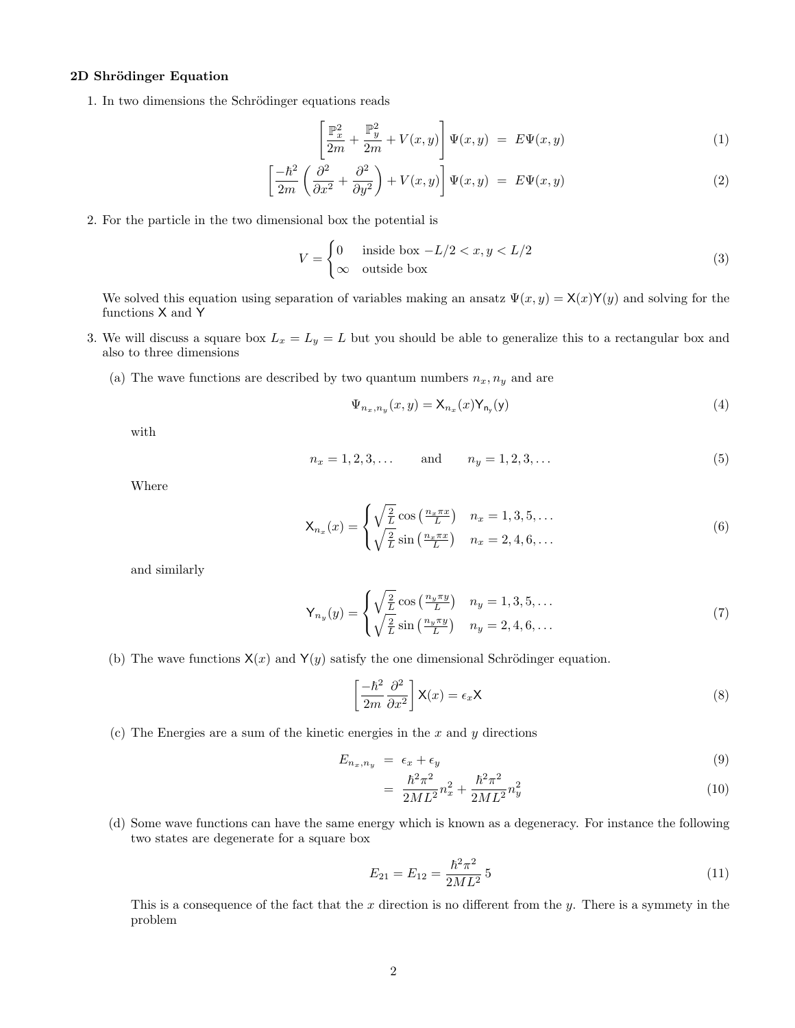## 2D Shrödinger Equation

1. In two dimensions the Schrödinger equations reads

$$
\left[\frac{\mathbb{P}_x^2}{2m} + \frac{\mathbb{P}_y^2}{2m} + V(x, y)\right] \Psi(x, y) = E\Psi(x, y)
$$
\n(1)

$$
\left[\frac{-\hbar^2}{2m}\left(\frac{\partial^2}{\partial x^2} + \frac{\partial^2}{\partial y^2}\right) + V(x, y)\right]\Psi(x, y) = E\Psi(x, y)
$$
\n(2)

2. For the particle in the two dimensional box the potential is

$$
V = \begin{cases} 0 & \text{inside box } -L/2 < x, y < L/2 \\ \infty & \text{outside box} \end{cases} \tag{3}
$$

We solved this equation using separation of variables making an ansatz  $\Psi(x, y) = \mathsf{X}(x)\mathsf{Y}(y)$  and solving for the functions X and Y

- 3. We will discuss a square box  $L_x = L_y = L$  but you should be able to generalize this to a rectangular box and also to three dimensions
	- (a) The wave functions are described by two quantum numbers  $n_x, n_y$  and are

$$
\Psi_{n_x,n_y}(x,y) = \mathsf{X}_{n_x}(x)\mathsf{Y}_{n_y}(y) \tag{4}
$$

with

$$
n_x = 1, 2, 3, \dots \quad \text{and} \quad n_y = 1, 2, 3, \dots \tag{5}
$$

Where

$$
\mathsf{X}_{n_x}(x) = \begin{cases} \sqrt{\frac{2}{L}} \cos\left(\frac{n_x \pi x}{L}\right) & n_x = 1, 3, 5, \dots \\ \sqrt{\frac{2}{L}} \sin\left(\frac{n_x \pi x}{L}\right) & n_x = 2, 4, 6, \dots \end{cases} \tag{6}
$$

and similarly

$$
\mathsf{Y}_{n_y}(y) = \begin{cases} \sqrt{\frac{2}{L}} \cos\left(\frac{n_y \pi y}{L}\right) & n_y = 1, 3, 5, \dots \\ \sqrt{\frac{2}{L}} \sin\left(\frac{n_y \pi y}{L}\right) & n_y = 2, 4, 6, \dots \end{cases} \tag{7}
$$

(b) The wave functions  $X(x)$  and  $Y(y)$  satisfy the one dimensional Schrödinger equation.

$$
\left[\frac{-\hbar^2}{2m}\frac{\partial^2}{\partial x^2}\right]X(x) = \epsilon_x X\tag{8}
$$

(c) The Energies are a sum of the kinetic energies in the  $x$  and  $y$  directions

$$
E_{n_x,n_y} = \epsilon_x + \epsilon_y \tag{9}
$$

$$
= \frac{\hbar^2 \pi^2}{2ML^2} n_x^2 + \frac{\hbar^2 \pi^2}{2ML^2} n_y^2 \tag{10}
$$

(d) Some wave functions can have the same energy which is known as a degeneracy. For instance the following two states are degenerate for a square box

$$
E_{21} = E_{12} = \frac{\hbar^2 \pi^2}{2ML^2} 5
$$
\n(11)

This is a consequence of the fact that the x direction is no different from the  $y$ . There is a symmety in the problem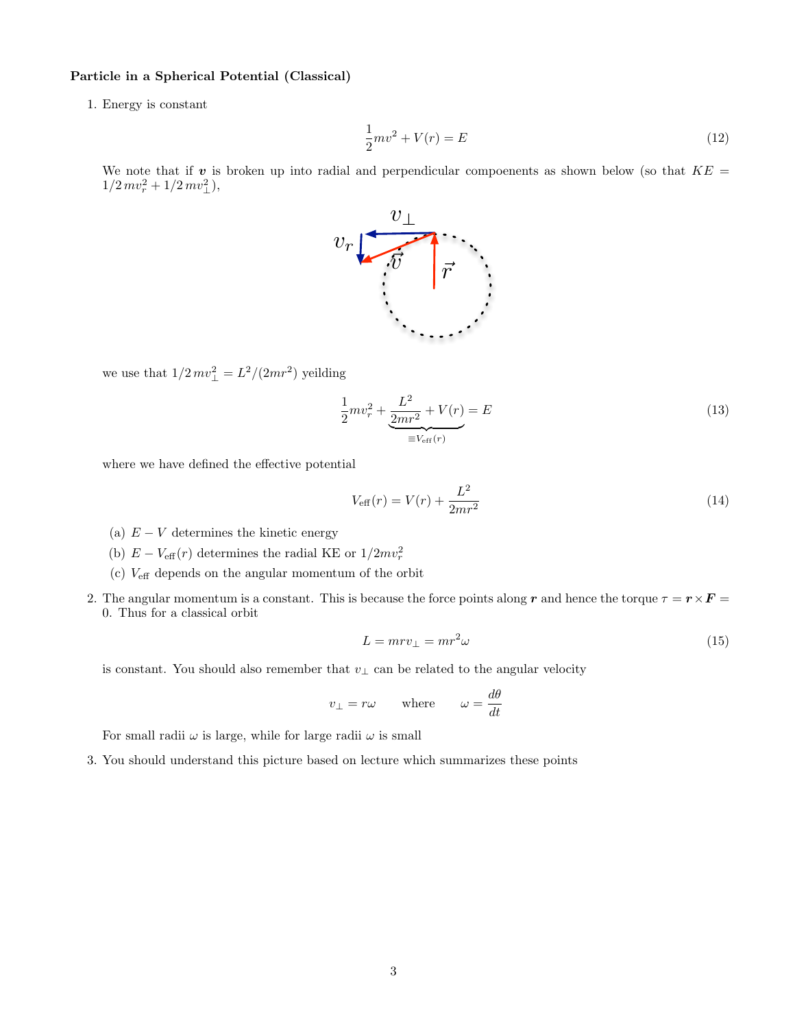### Particle in a Spherical Potential (Classical)

1. Energy is constant

$$
\frac{1}{2}mv^2 + V(r) = E
$$
\n(12)

We note that if  $v$  is broken up into radial and perpendicular compoenents as shown below (so that  $KE =$  $1/2 mv_r^2 + 1/2 mv_\perp^2$ ),



we use that  $1/2 mv_{\perp}^2 = L^2/(2mr^2)$  yeilding

$$
\frac{1}{2}mv_r^2 + \underbrace{\frac{L^2}{2mr^2} + V(r)}_{\equiv V_{\text{eff}}(r)} = E
$$
\n(13)

where we have defined the effective potential

$$
V_{\text{eff}}(r) = V(r) + \frac{L^2}{2mr^2}
$$
\n(14)

- (a)  $E V$  determines the kinetic energy
- (b)  $E V_{\text{eff}}(r)$  determines the radial KE or  $1/2mv_r^2$
- (c) Veff depends on the angular momentum of the orbit
- 2. The angular momentum is a constant. This is because the force points along r and hence the torque  $\tau = r \times F =$ 0. Thus for a classical orbit

$$
L = mrv_{\perp} = mr^2\omega\tag{15}
$$

is constant. You should also remember that  $v_{\perp}$  can be related to the angular velocity

$$
v_{\perp}=r\omega \qquad \text{where} \qquad \omega=\frac{d\theta}{dt}
$$

For small radii  $\omega$  is large, while for large radii  $\omega$  is small

3. You should understand this picture based on lecture which summarizes these points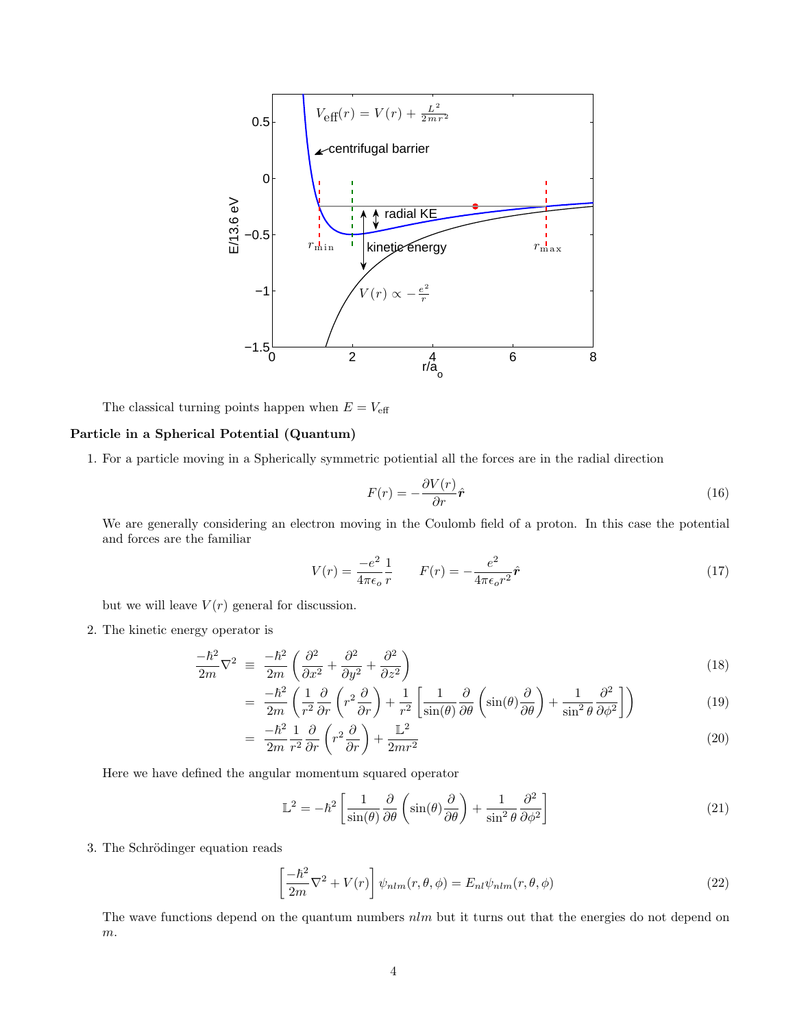

The classical turning points happen when  $E = V_{\text{eff}}$ 

### Particle in a Spherical Potential (Quantum)

1. For a particle moving in a Spherically symmetric potiential all the forces are in the radial direction

$$
F(r) = -\frac{\partial V(r)}{\partial r}\hat{r}
$$
\n(16)

We are generally considering an electron moving in the Coulomb field of a proton. In this case the potential and forces are the familiar

$$
V(r) = \frac{-e^2}{4\pi\epsilon_o} \frac{1}{r} \qquad F(r) = -\frac{e^2}{4\pi\epsilon_o r^2} \hat{r}
$$
\n
$$
\tag{17}
$$

but we will leave  $V(r)$  general for discussion.

2. The kinetic energy operator is

$$
\frac{-\hbar^2}{2m}\nabla^2 \equiv \frac{-\hbar^2}{2m}\left(\frac{\partial^2}{\partial x^2} + \frac{\partial^2}{\partial y^2} + \frac{\partial^2}{\partial z^2}\right) \tag{18}
$$

$$
= \frac{-\hbar^2}{2m} \left( \frac{1}{r^2} \frac{\partial}{\partial r} \left( r^2 \frac{\partial}{\partial r} \right) + \frac{1}{r^2} \left[ \frac{1}{\sin(\theta)} \frac{\partial}{\partial \theta} \left( \sin(\theta) \frac{\partial}{\partial \theta} \right) + \frac{1}{\sin^2 \theta} \frac{\partial^2}{\partial \phi^2} \right] \right)
$$
(19)

$$
= \frac{-\hbar^2}{2m} \frac{1}{r^2} \frac{\partial}{\partial r} \left( r^2 \frac{\partial}{\partial r} \right) + \frac{\mathbb{L}^2}{2mr^2}
$$
\n
$$
\tag{20}
$$

Here we have defined the angular momentum squared operator

$$
\mathbb{L}^2 = -\hbar^2 \left[ \frac{1}{\sin(\theta)} \frac{\partial}{\partial \theta} \left( \sin(\theta) \frac{\partial}{\partial \theta} \right) + \frac{1}{\sin^2 \theta} \frac{\partial^2}{\partial \phi^2} \right]
$$
(21)

3. The Schrödinger equation reads

$$
\left[\frac{-\hbar^2}{2m}\nabla^2 + V(r)\right]\psi_{nlm}(r,\theta,\phi) = E_{nl}\psi_{nlm}(r,\theta,\phi)
$$
\n(22)

The wave functions depend on the quantum numbers  $nlm$  but it turns out that the energies do not depend on m.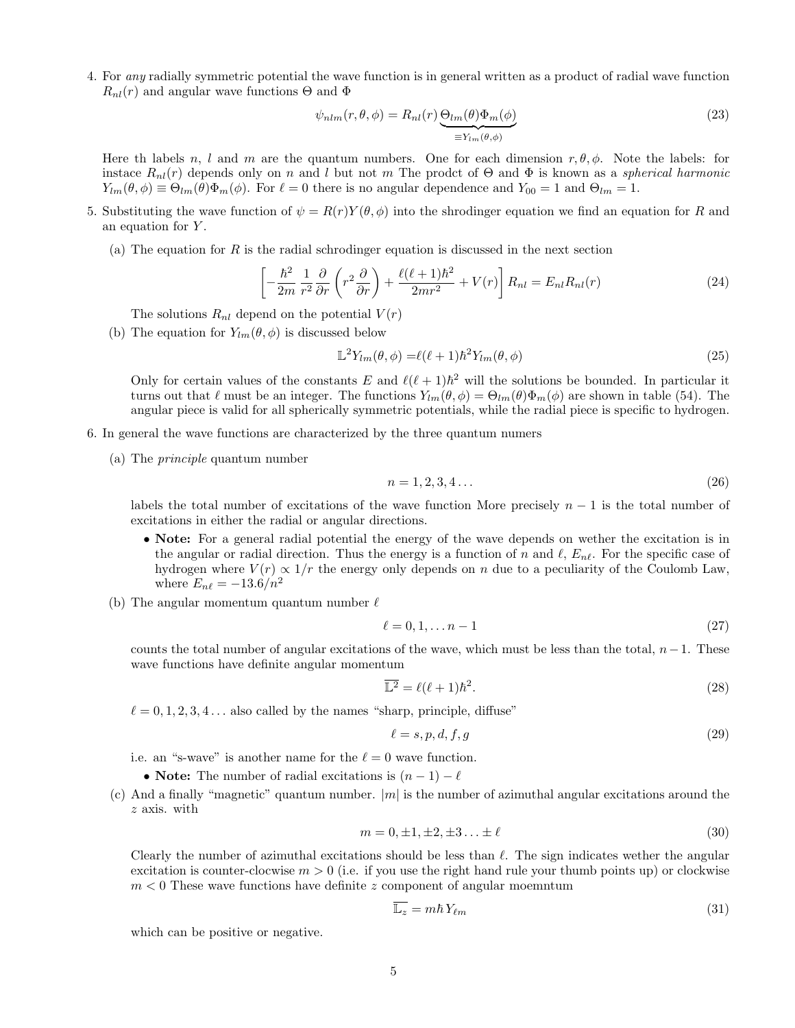4. For any radially symmetric potential the wave function is in general written as a product of radial wave function  $R_{nl}(r)$  and angular wave functions  $\Theta$  and  $\Phi$ 

$$
\psi_{nlm}(r,\theta,\phi) = R_{nl}(r) \underbrace{\Theta_{lm}(\theta)\Phi_m(\phi)}_{\equiv Y_{lm}(\theta,\phi)}
$$
\n(23)

Here th labels n, l and m are the quantum numbers. One for each dimension  $r, \theta, \phi$ . Note the labels: for instace  $R_{nl}(r)$  depends only on n and l but not m The prodet of  $\Theta$  and  $\Phi$  is known as a *spherical harmonic*  $Y_{lm}(\theta, \phi) \equiv \Theta_{lm}(\theta) \Phi_m(\phi)$ . For  $\ell = 0$  there is no angular dependence and  $Y_{00} = 1$  and  $\Theta_{lm} = 1$ .

- 5. Substituting the wave function of  $\psi = R(r)Y(\theta, \phi)$  into the shrodinger equation we find an equation for R and an equation for  $Y$ .
	- (a) The equation for  $R$  is the radial schrodinger equation is discussed in the next section

$$
\left[ -\frac{\hbar^2}{2m} \frac{1}{r^2} \frac{\partial}{\partial r} \left( r^2 \frac{\partial}{\partial r} \right) + \frac{\ell(\ell+1)\hbar^2}{2mr^2} + V(r) \right] R_{nl} = E_{nl} R_{nl}(r) \tag{24}
$$

The solutions  $R_{nl}$  depend on the potential  $V(r)$ 

(b) The equation for  $Y_{lm}(\theta, \phi)$  is discussed below

$$
\mathbb{L}^2 Y_{lm}(\theta,\phi) = \ell(\ell+1)\hbar^2 Y_{lm}(\theta,\phi) \tag{25}
$$

Only for certain values of the constants E and  $\ell(\ell+1)\hbar^2$  will the solutions be bounded. In particular it turns out that  $\ell$  must be an integer. The functions  $Y_{lm}(\theta, \phi) = \Theta_{lm}(\theta)\Phi_m(\phi)$  are shown in table (54). The angular piece is valid for all spherically symmetric potentials, while the radial piece is specific to hydrogen.

- 6. In general the wave functions are characterized by the three quantum numers
	- (a) The principle quantum number

$$
n = 1, 2, 3, 4 \dots \tag{26}
$$

labels the total number of excitations of the wave function More precisely  $n-1$  is the total number of excitations in either the radial or angular directions.

- Note: For a general radial potential the energy of the wave depends on wether the excitation is in the angular or radial direction. Thus the energy is a function of n and  $\ell$ ,  $E_{n\ell}$ . For the specific case of hydrogen where  $V(r) \propto 1/r$  the energy only depends on n due to a peculiarity of the Coulomb Law, where  $E_{n\ell} = -13.6/n^2$
- (b) The angular momentum quantum number  $\ell$

$$
\ell = 0, 1, \dots n - 1 \tag{27}
$$

counts the total number of angular excitations of the wave, which must be less than the total,  $n-1$ . These wave functions have definite angular momentum

$$
\overline{\mathbb{L}^2} = \ell(\ell+1)\hbar^2. \tag{28}
$$

 $\ell = 0, 1, 2, 3, 4...$  also called by the names "sharp, principle, diffuse"

$$
\ell = s, p, d, f, g \tag{29}
$$

i.e. an "s-wave" is another name for the  $\ell = 0$  wave function.

- Note: The number of radial excitations is  $(n-1) \ell$
- (c) And a finally "magnetic" quantum number.  $|m|$  is the number of azimuthal angular excitations around the z axis. with

$$
m = 0, \pm 1, \pm 2, \pm 3 \dots \pm \ell \tag{30}
$$

Clearly the number of azimuthal excitations should be less than  $\ell$ . The sign indicates wether the angular excitation is counter-clocwise  $m > 0$  (i.e. if you use the right hand rule your thumb points up) or clockwise  $m < 0$  These wave functions have definite z component of angular moemntum

$$
\overline{\mathbb{L}_z} = m\hbar Y_{\ell m} \tag{31}
$$

which can be positive or negative.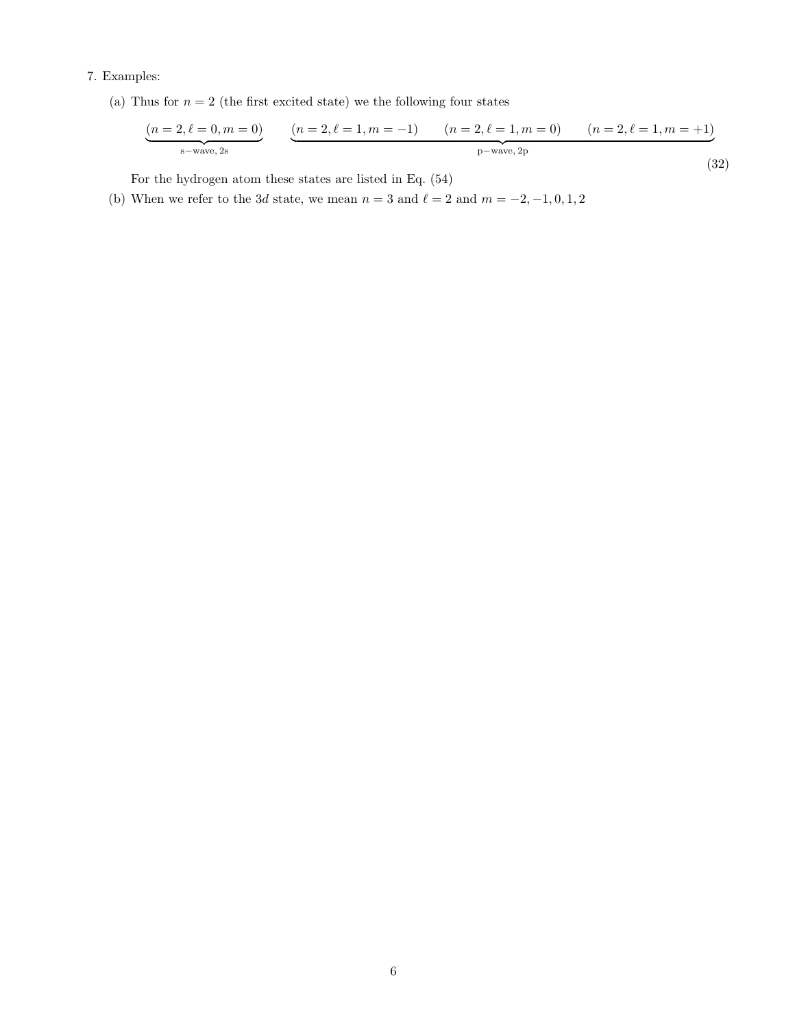# 7. Examples:

(a) Thus for  $n=2$  (the first excited state) we the following four states

$$
\underbrace{(n=2,\ell=0,m=0)}_{\text{s-wave, 2s}} \qquad \underbrace{(n=2,\ell=1,m=-1)}_{\text{p-wave, 2p}} \qquad (n=2,\ell=1,m=0) \qquad (n=2,\ell=1,m=+1)
$$
\n(32)

For the hydrogen atom these states are listed in Eq. (54)

(b) When we refer to the 3d state, we mean  $n = 3$  and  $\ell = 2$  and  $m = -2, -1, 0, 1, 2$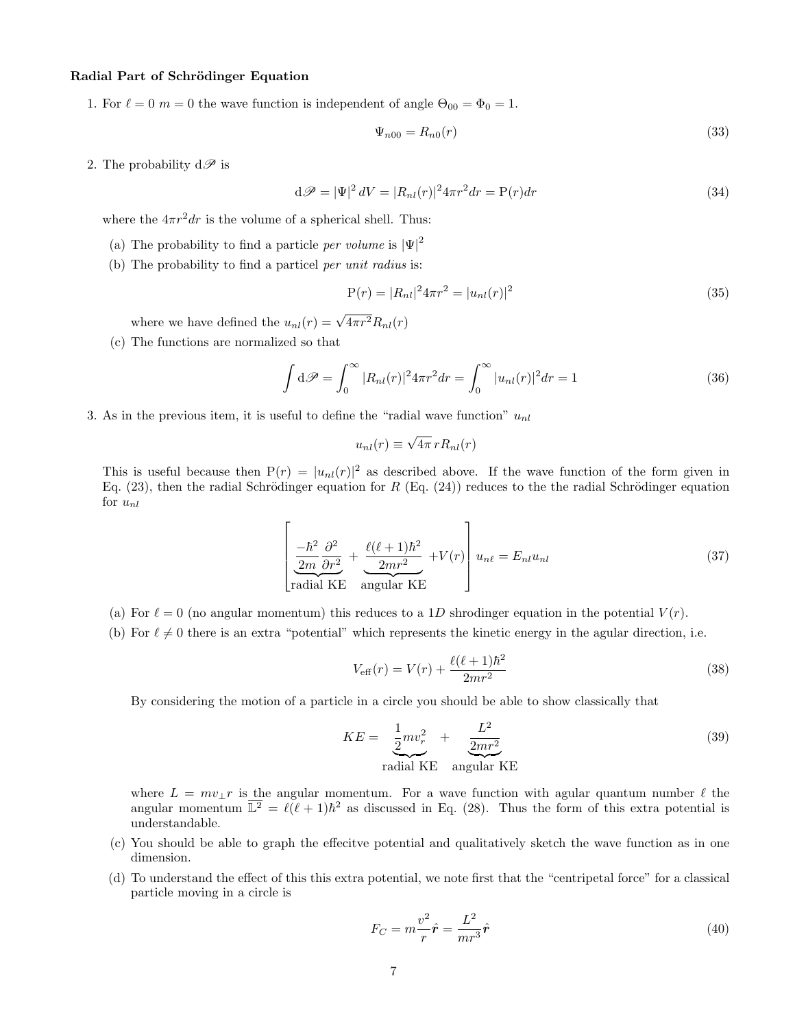## Radial Part of Schrödinger Equation

1. For  $\ell = 0$  m = 0 the wave function is independent of angle  $\Theta_{00} = \Phi_0 = 1$ .

$$
\Psi_{n00} = R_{n0}(r) \tag{33}
$$

2. The probability  $d\mathscr{P}$  is

$$
\mathrm{d}\mathcal{P} = |\Psi|^2 \, dV = |R_{nl}(r)|^2 4\pi r^2 dr = P(r) dr \tag{34}
$$

where the  $4\pi r^2 dr$  is the volume of a spherical shell. Thus:

- (a) The probability to find a particle *per volume* is  $|\Psi|^2$
- (b) The probability to find a particel per unit radius is:

$$
P(r) = |R_{nl}|^2 4\pi r^2 = |u_{nl}(r)|^2
$$
\n(35)

where we have defined the  $u_{nl}(r) = \sqrt{4\pi r^2} R_{nl}(r)$ 

(c) The functions are normalized so that

$$
\int d\mathcal{P} = \int_0^\infty |R_{nl}(r)|^2 4\pi r^2 dr = \int_0^\infty |u_{nl}(r)|^2 dr = 1
$$
\n(36)

3. As in the previous item, it is useful to define the "radial wave function"  $u_{nl}$ 

$$
u_{nl}(r) \equiv \sqrt{4\pi} \, r R_{nl}(r)
$$

This is useful because then  $P(r) = |u_{nl}(r)|^2$  as described above. If the wave function of the form given in Eq. (23), then the radial Schrödinger equation for R (Eq. (24)) reduces to the the radial Schrödinger equation for  $u_{nl}$ 

$$
\left[\frac{-\hbar^2}{2m}\frac{\partial^2}{\partial r^2} + \frac{\ell(\ell+1)\hbar^2}{2mr^2} + V(r)\right]u_{n\ell} = E_{nl}u_{nl}
$$
\n(37)

\nradial KE angular KE

- (a) For  $\ell = 0$  (no angular momentum) this reduces to a 1D shrodinger equation in the potential  $V(r)$ .
- (b) For  $\ell \neq 0$  there is an extra "potential" which represents the kinetic energy in the agular direction, i.e.

$$
V_{\text{eff}}(r) = V(r) + \frac{\ell(\ell+1)\hbar^2}{2mr^2}
$$
\n(38)

By considering the motion of a particle in a circle you should be able to show classically that

$$
KE = \underbrace{\frac{1}{2}mv_r^2}_{\text{radial KE}} + \underbrace{\frac{L^2}{2mr^2}}_{\text{angular KE}}
$$
(39)

where  $L = mv_1 r$  is the angular momentum. For a wave function with agular quantum number  $\ell$  the angular momentum  $\overline{\mathbb{L}^2} = \ell(\ell+1)\hbar^2$  as discussed in Eq. (28). Thus the form of this extra potential is understandable.

- (c) You should be able to graph the effecitve potential and qualitatively sketch the wave function as in one dimension.
- (d) To understand the effect of this this extra potential, we note first that the "centripetal force" for a classical particle moving in a circle is

$$
F_C = m \frac{v^2}{r} \hat{\mathbf{r}} = \frac{L^2}{mr^3} \hat{\mathbf{r}} \tag{40}
$$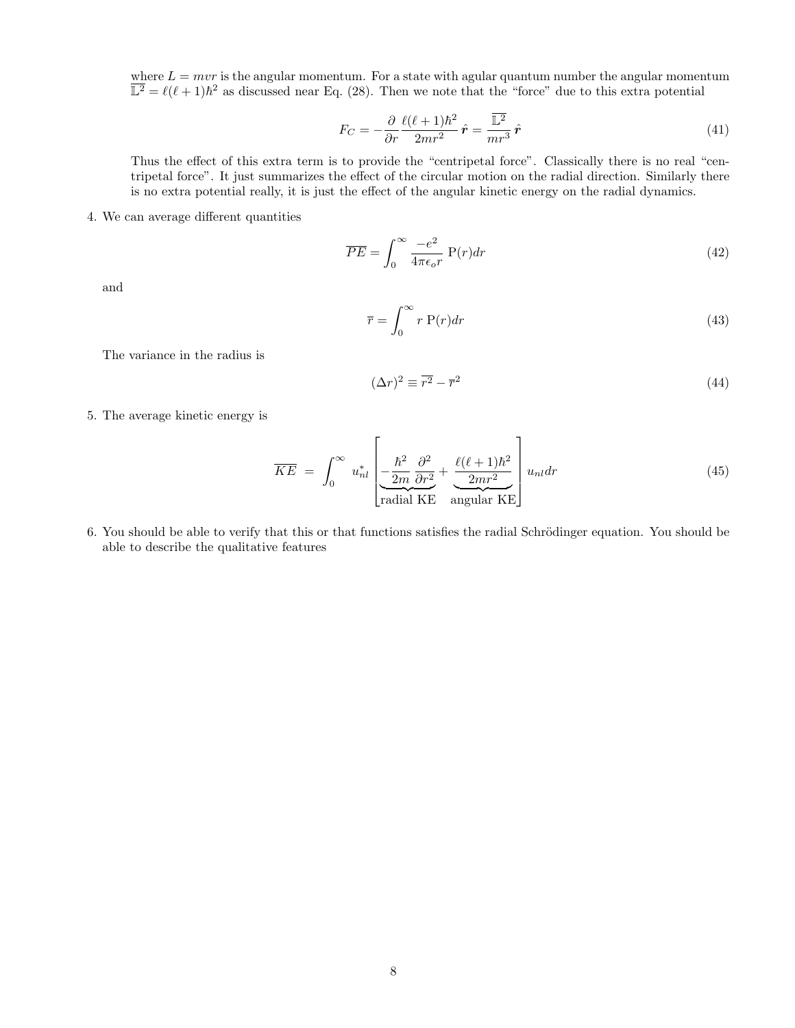where  $L = mvr$  is the angular momentum. For a state with agular quantum number the angular momentum  $\overline{\mathbb{L}^2} = \ell(\ell+1)\hbar^2$  as discussed near Eq. (28). Then we note that the "force" due to this extra potential

$$
F_C = -\frac{\partial}{\partial r} \frac{\ell(\ell+1)\hbar^2}{2mr^2} \hat{r} = \frac{\overline{\mathbb{L}^2}}{mr^3} \hat{r}
$$
(41)

Thus the effect of this extra term is to provide the "centripetal force". Classically there is no real "centripetal force". It just summarizes the effect of the circular motion on the radial direction. Similarly there is no extra potential really, it is just the effect of the angular kinetic energy on the radial dynamics.

4. We can average different quantities

$$
\overline{PE} = \int_0^\infty \frac{-e^2}{4\pi\epsilon_o r} \ \mathbf{P}(r) dr \tag{42}
$$

and

$$
\overline{r} = \int_0^\infty r \, \mathbf{P}(r) dr \tag{43}
$$

The variance in the radius is

$$
(\Delta r)^2 \equiv \overline{r^2} - \overline{r}^2 \tag{44}
$$

5. The average kinetic energy is

$$
\overline{KE} = \int_0^\infty u_{nl}^* \left[ \underbrace{-\frac{\hbar^2}{2m} \frac{\partial^2}{\partial r^2}}_{\text{radial KE}} + \underbrace{\frac{\ell(\ell+1)\hbar^2}{2mr^2}}_{\text{angular KE}} \right] u_{nl} dr \tag{45}
$$

6. You should be able to verify that this or that functions satisfies the radial Schrödinger equation. You should be able to describe the qualitative features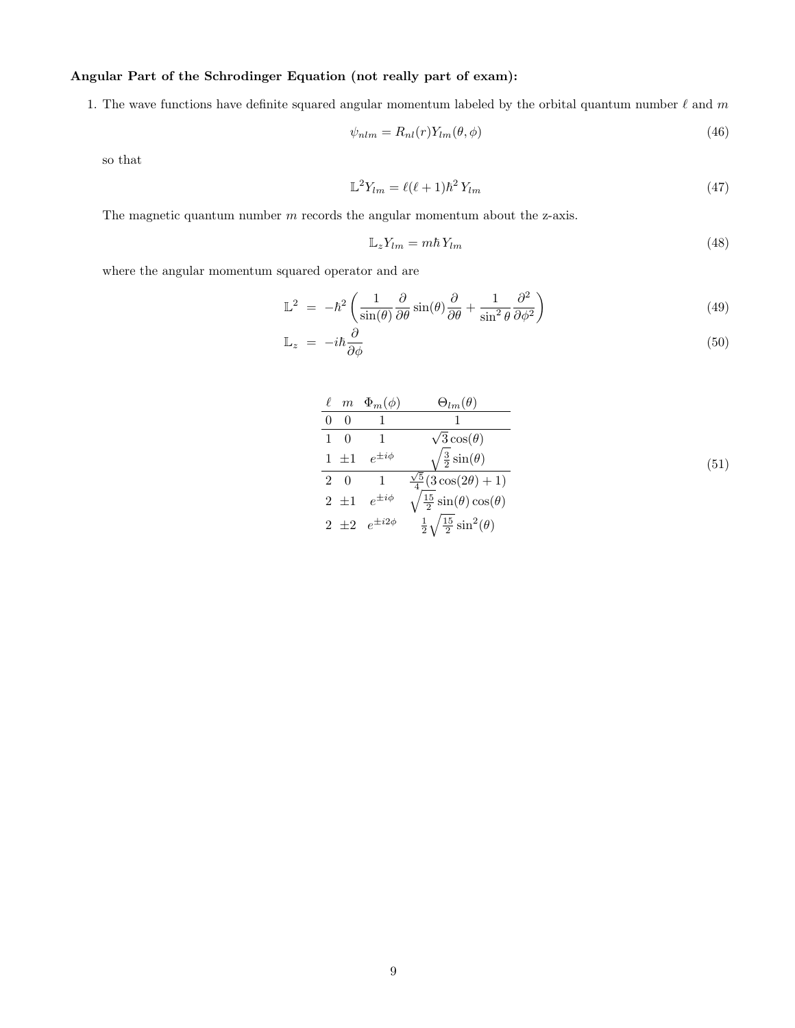# Angular Part of the Schrodinger Equation (not really part of exam):

1. The wave functions have definite squared angular momentum labeled by the orbital quantum number  $\ell$  and m

$$
\psi_{nlm} = R_{nl}(r) Y_{lm}(\theta, \phi) \tag{46}
$$

so that

$$
\mathbb{L}^2 Y_{lm} = \ell(\ell+1)\hbar^2 Y_{lm} \tag{47}
$$

The magnetic quantum number  $m$  records the angular momentum about the z-axis.

$$
\mathbb{L}_z Y_{lm} = m\hbar Y_{lm} \tag{48}
$$

where the angular momentum squared operator and are

$$
\mathbb{L}^2 = -\hbar^2 \left( \frac{1}{\sin(\theta)} \frac{\partial}{\partial \theta} \sin(\theta) \frac{\partial}{\partial \theta} + \frac{1}{\sin^2 \theta} \frac{\partial^2}{\partial \phi^2} \right)
$$
(49)

$$
\mathbb{L}_z = -i\hbar \frac{\partial}{\partial \phi} \tag{50}
$$

| $\ell$ m    | $\Phi_m(\phi)$            | $\Theta_{lm}(\theta)$                        |
|-------------|---------------------------|----------------------------------------------|
| 0           |                           |                                              |
| $1 \quad 0$ |                           | $\sqrt{3}\cos(\theta)$                       |
| $1 \pm 1$   | $e^{\pm i\phi}$           | $\frac{3}{2}\sin(\theta)$                    |
|             | $2 \quad 0 \qquad 1$      | $\frac{\sqrt{5}}{4}(3\cos(2\theta)+1)$       |
|             | $2 \pm 1$ $e^{\pm i\phi}$ | $\frac{15}{2}\sin(\theta)\cos(\theta)$       |
|             | $2 \pm 2 e^{\pm i2\phi}$  | $rac{1}{2}\sqrt{\frac{15}{2}}\sin^2(\theta)$ |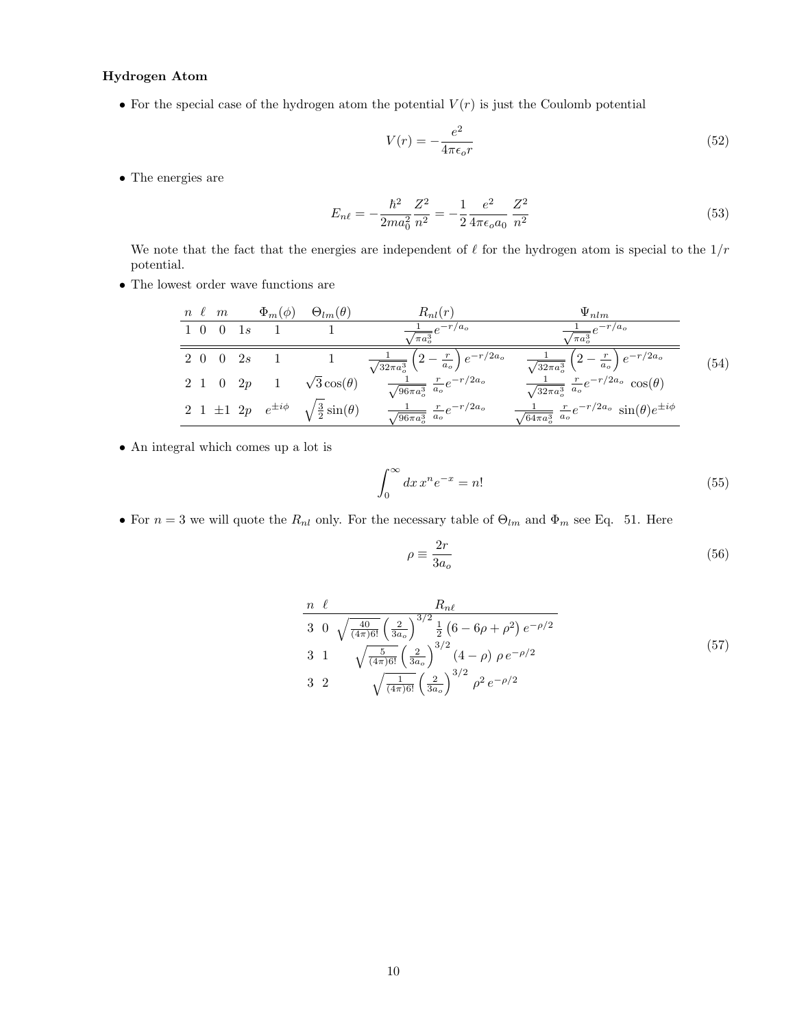# Hydrogen Atom

• For the special case of the hydrogen atom the potential  $V(r)$  is just the Coulomb potential

$$
V(r) = -\frac{e^2}{4\pi\epsilon_o r} \tag{52}
$$

 $\bullet$  The energies are

$$
E_{n\ell} = -\frac{\hbar^2}{2ma_0^2} \frac{Z^2}{n^2} = -\frac{1}{2} \frac{e^2}{4\pi\epsilon_o a_0} \frac{Z^2}{n^2}
$$
(53)

We note that the fact that the energies are independent of  $\ell$  for the hydrogen atom is special to the  $1/r$ potential.

 $\bullet$  The lowest order wave functions are

|  | $n \ell \, m$          |               | $\Phi_m(\phi)$ $\Theta_{lm}(\theta)$                       | $R_{nl}(r)$                                                                 | $\Psi_{nlm}$                                                                        |      |
|--|------------------------|---------------|------------------------------------------------------------|-----------------------------------------------------------------------------|-------------------------------------------------------------------------------------|------|
|  | $1\quad0\quad0\quad1s$ |               |                                                            | $\frac{1}{\sqrt{\pi a_o^3}}e^{-r/a_o}$                                      | $\frac{1}{\sqrt{\pi a_o^3}}\overline{e^{-r}/a_o}$                                   |      |
|  |                        | $2\ 0\ 0\ 2s$ |                                                            | 1 $\frac{1}{\sqrt{32\pi a_o^3}} \left(2 - \frac{r}{a_o}\right) e^{-r/2a_o}$ | $\frac{1}{\sqrt{32\pi a_o^3}}\left(2-\frac{r}{a_o}\right)e^{-r/2a_o}$               | (54) |
|  |                        | $2\ 1\ 0\ 2p$ | $\sqrt{3}\cos(\theta)$                                     | $\frac{1}{\sqrt{96\pi a_o^3}} \frac{r}{a_o} e^{-r/2a_o}$                    | $\frac{1}{\sqrt{32\pi a_o^3}} \left.\frac{r}{a_o} e^{-r/2a_o} \cos(\theta)\right.$  |      |
|  |                        |               | 2 1 ±1 2p $e^{\pm i\phi}$ $\sqrt{\frac{3}{2}}\sin(\theta)$ | $\frac{1}{\sqrt{96\pi a_o^3}} \frac{r}{a_o} e^{-r/2a_o}$                    | $\frac{1}{\sqrt{64\pi a_o^3}} \frac{r}{a_o} e^{-r/2a_o} \sin(\theta) e^{\pm i\phi}$ |      |

• An integral which comes up a lot is

$$
\int_0^\infty dx \, x^n e^{-x} = n! \tag{55}
$$

• For  $n = 3$  we will quote the  $R_{nl}$  only. For the necessary table of  $\Theta_{lm}$  and  $\Phi_m$  see Eq. 51. Here

$$
\rho \equiv \frac{2r}{3a_o} \tag{56}
$$

$$
\frac{n \ell}{3 \ 0} \frac{R_{n\ell}}{\sqrt{\frac{40}{(4\pi)6!} \left(\frac{2}{3a_o}\right)^{3/2} \frac{1}{2} \left(6 - 6\rho + \rho^2\right) e^{-\rho/2}}}
$$
\n
$$
3 \ 1 \ \sqrt{\frac{5}{(4\pi)6!} \left(\frac{2}{3a_o}\right)^{3/2} \left(4 - \rho\right) \rho e^{-\rho/2}}
$$
\n
$$
3 \ 2 \ \sqrt{\frac{1}{(4\pi)6!} \left(\frac{2}{3a_o}\right)^{3/2} \rho^2 e^{-\rho/2}}
$$
\n
$$
(57)
$$